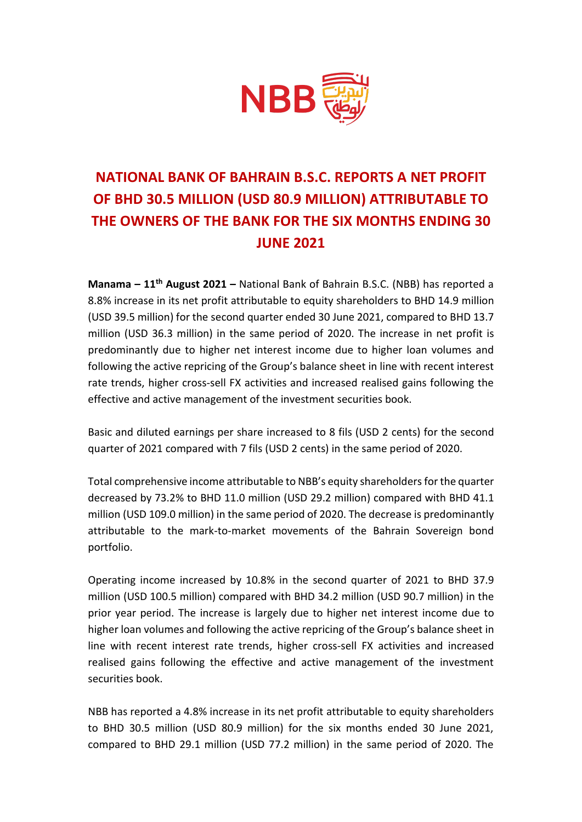

## **NATIONAL BANK OF BAHRAIN B.S.C. REPORTS A NET PROFIT OF BHD 30.5 MILLION (USD 80.9 MILLION) ATTRIBUTABLE TO THE OWNERS OF THE BANK FOR THE SIX MONTHS ENDING 30 JUNE 2021**

**Manama – 11th August 2021 –** National Bank of Bahrain B.S.C. (NBB) has reported a 8.8% increase in its net profit attributable to equity shareholders to BHD 14.9 million (USD 39.5 million) for the second quarter ended 30 June 2021, compared to BHD 13.7 million (USD 36.3 million) in the same period of 2020. The increase in net profit is predominantly due to higher net interest income due to higher loan volumes and following the active repricing of the Group's balance sheet in line with recent interest rate trends, higher cross-sell FX activities and increased realised gains following the effective and active management of the investment securities book.

Basic and diluted earnings per share increased to 8 fils (USD 2 cents) for the second quarter of 2021 compared with 7 fils (USD 2 cents) in the same period of 2020.

Total comprehensive income attributable to NBB's equity shareholders for the quarter decreased by 73.2% to BHD 11.0 million (USD 29.2 million) compared with BHD 41.1 million (USD 109.0 million) in the same period of 2020. The decrease is predominantly attributable to the mark-to-market movements of the Bahrain Sovereign bond portfolio.

Operating income increased by 10.8% in the second quarter of 2021 to BHD 37.9 million (USD 100.5 million) compared with BHD 34.2 million (USD 90.7 million) in the prior year period. The increase is largely due to higher net interest income due to higher loan volumes and following the active repricing of the Group's balance sheet in line with recent interest rate trends, higher cross-sell FX activities and increased realised gains following the effective and active management of the investment securities book.

NBB has reported a 4.8% increase in its net profit attributable to equity shareholders to BHD 30.5 million (USD 80.9 million) for the six months ended 30 June 2021, compared to BHD 29.1 million (USD 77.2 million) in the same period of 2020. The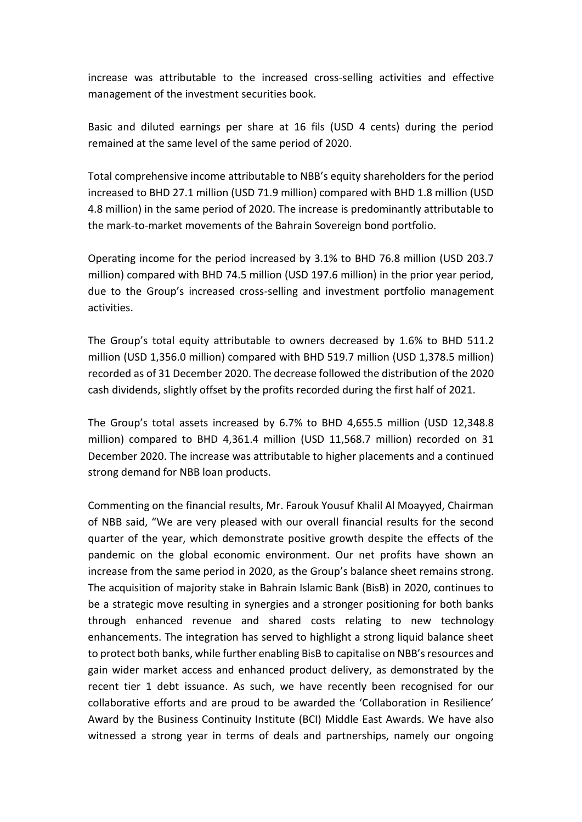increase was attributable to the increased cross-selling activities and effective management of the investment securities book.

Basic and diluted earnings per share at 16 fils (USD 4 cents) during the period remained at the same level of the same period of 2020.

Total comprehensive income attributable to NBB's equity shareholders for the period increased to BHD 27.1 million (USD 71.9 million) compared with BHD 1.8 million (USD 4.8 million) in the same period of 2020. The increase is predominantly attributable to the mark-to-market movements of the Bahrain Sovereign bond portfolio.

Operating income for the period increased by 3.1% to BHD 76.8 million (USD 203.7 million) compared with BHD 74.5 million (USD 197.6 million) in the prior year period, due to the Group's increased cross-selling and investment portfolio management activities.

The Group's total equity attributable to owners decreased by 1.6% to BHD 511.2 million (USD 1,356.0 million) compared with BHD 519.7 million (USD 1,378.5 million) recorded as of 31 December 2020. The decrease followed the distribution of the 2020 cash dividends, slightly offset by the profits recorded during the first half of 2021.

The Group's total assets increased by 6.7% to BHD 4,655.5 million (USD 12,348.8 million) compared to BHD 4,361.4 million (USD 11,568.7 million) recorded on 31 December 2020. The increase was attributable to higher placements and a continued strong demand for NBB loan products.

Commenting on the financial results, Mr. Farouk Yousuf Khalil Al Moayyed, Chairman of NBB said, "We are very pleased with our overall financial results for the second quarter of the year, which demonstrate positive growth despite the effects of the pandemic on the global economic environment. Our net profits have shown an increase from the same period in 2020, as the Group's balance sheet remains strong. The acquisition of majority stake in Bahrain Islamic Bank (BisB) in 2020, continues to be a strategic move resulting in synergies and a stronger positioning for both banks through enhanced revenue and shared costs relating to new technology enhancements. The integration has served to highlight a strong liquid balance sheet to protect both banks, while further enabling BisB to capitalise on NBB's resources and gain wider market access and enhanced product delivery, as demonstrated by the recent tier 1 debt issuance. As such, we have recently been recognised for our collaborative efforts and are proud to be awarded the 'Collaboration in Resilience' Award by the Business Continuity Institute (BCI) Middle East Awards. We have also witnessed a strong year in terms of deals and partnerships, namely our ongoing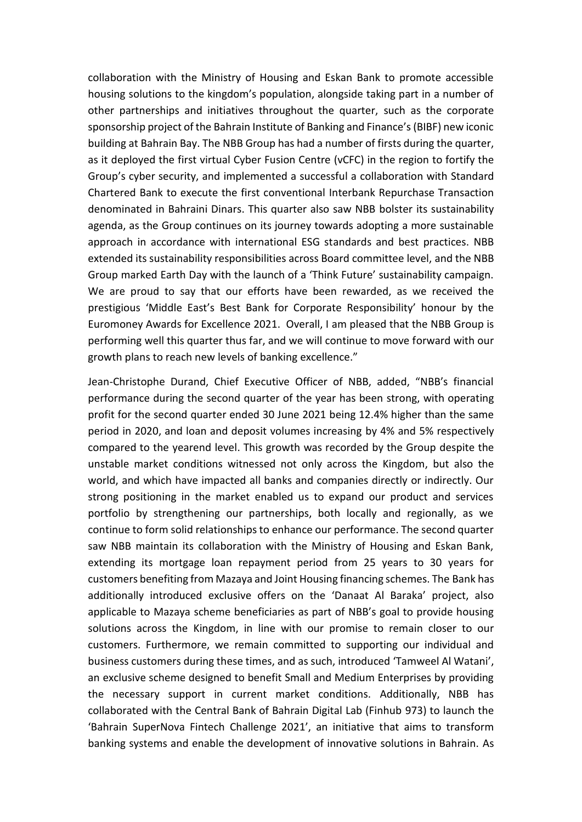collaboration with the Ministry of Housing and Eskan Bank to promote accessible housing solutions to the kingdom's population, alongside taking part in a number of other partnerships and initiatives throughout the quarter, such as the corporate sponsorship project of the Bahrain Institute of Banking and Finance's (BIBF) new iconic building at Bahrain Bay. The NBB Group has had a number of firsts during the quarter, as it deployed the first virtual Cyber Fusion Centre (vCFC) in the region to fortify the Group's cyber security, and implemented a successful a collaboration with Standard Chartered Bank to execute the first conventional Interbank Repurchase Transaction denominated in Bahraini Dinars. This quarter also saw NBB bolster its sustainability agenda, as the Group continues on its journey towards adopting a more sustainable approach in accordance with international ESG standards and best practices. NBB extended its sustainability responsibilities across Board committee level, and the NBB Group marked Earth Day with the launch of a 'Think Future' sustainability campaign. We are proud to say that our efforts have been rewarded, as we received the prestigious 'Middle East's Best Bank for Corporate Responsibility' honour by the Euromoney Awards for Excellence 2021. Overall, I am pleased that the NBB Group is performing well this quarter thus far, and we will continue to move forward with our growth plans to reach new levels of banking excellence."

Jean-Christophe Durand, Chief Executive Officer of NBB, added, "NBB's financial performance during the second quarter of the year has been strong, with operating profit for the second quarter ended 30 June 2021 being 12.4% higher than the same period in 2020, and loan and deposit volumes increasing by 4% and 5% respectively compared to the yearend level. This growth was recorded by the Group despite the unstable market conditions witnessed not only across the Kingdom, but also the world, and which have impacted all banks and companies directly or indirectly. Our strong positioning in the market enabled us to expand our product and services portfolio by strengthening our partnerships, both locally and regionally, as we continue to form solid relationships to enhance our performance. The second quarter saw NBB maintain its collaboration with the Ministry of Housing and Eskan Bank, extending its mortgage loan repayment period from 25 years to 30 years for customers benefiting from Mazaya and Joint Housing financing schemes. The Bank has additionally introduced exclusive offers on the 'Danaat Al Baraka' project, also applicable to Mazaya scheme beneficiaries as part of NBB's goal to provide housing solutions across the Kingdom, in line with our promise to remain closer to our customers. Furthermore, we remain committed to supporting our individual and business customers during these times, and as such, introduced 'Tamweel Al Watani', an exclusive scheme designed to benefit Small and Medium Enterprises by providing the necessary support in current market conditions. Additionally, NBB has collaborated with the Central Bank of Bahrain Digital Lab (Finhub 973) to launch the 'Bahrain SuperNova Fintech Challenge 2021', an initiative that aims to transform banking systems and enable the development of innovative solutions in Bahrain. As